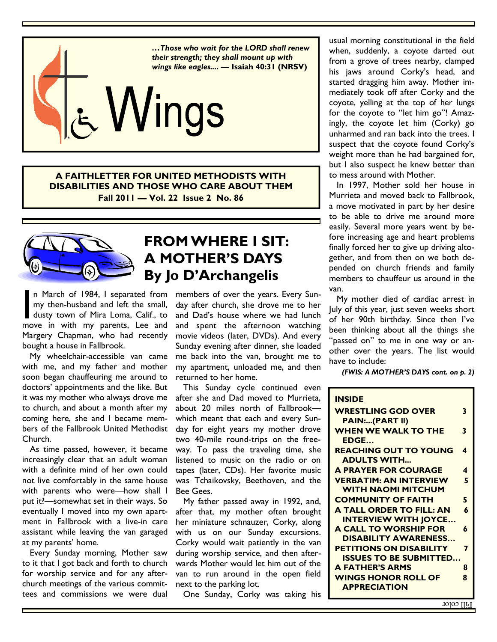

**A FAITHLETTER FOR UNITED METHODISTS WITH DISABILITIES AND THOSE WHO CARE ABOUT THEM Fall 2011 — Vol. 22 Issue 2 No. 86** 



### **FROM WHERE I SIT: A MOTHER'S DAYS By Jo D'Archangelis**

n March of 1984, I separated from my then-husband and left the small, dusty town of Mira Loma, Calif., to move in with my parents, Lee and Margery Chapman, who had recently bought a house in Fallbrook.

 My wheelchair-accessible van came with me, and my father and mother soon began chauffeuring me around to doctors' appointments and the like. But it was my mother who always drove me to church, and about a month after my coming here, she and I became members of the Fallbrook United Methodist Church.

 As time passed, however, it became increasingly clear that an adult woman with a definite mind of her own could not live comfortably in the same house with parents who were—how shall I put it?—somewhat set in their ways. So eventually I moved into my own apartment in Fallbrook with a live-in care assistant while leaving the van garaged at my parents' home.

 Every Sunday morning, Mother saw to it that I got back and forth to church for worship service and for any afterchurch meetings of the various committees and commissions we were dual

members of over the years. Every Sunday after church, she drove me to her and Dad's house where we had lunch and spent the afternoon watching movie videos (later, DVDs). And every Sunday evening after dinner, she loaded me back into the van, brought me to my apartment, unloaded me, and then returned to her home.

 This Sunday cycle continued even after she and Dad moved to Murrieta, about 20 miles north of Fallbrook which meant that each and every Sunday for eight years my mother drove two 40-mile round-trips on the freeway. To pass the traveling time, she listened to music on the radio or on tapes (later, CDs). Her favorite music was Tchaikovsky, Beethoven, and the Bee Gees.

 My father passed away in 1992, and, after that, my mother often brought her miniature schnauzer, Corky, along with us on our Sunday excursions. Corky would wait patiently in the van during worship service, and then afterwards Mother would let him out of the van to run around in the open field next to the parking lot.

One Sunday, Corky was taking his

usual morning constitutional in the field when, suddenly, a coyote darted out from a grove of trees nearby, clamped his jaws around Corky's head, and started dragging him away. Mother immediately took off after Corky and the coyote, yelling at the top of her lungs for the coyote to "let him go"! Amazingly, the coyote let him (Corky) go unharmed and ran back into the trees. I suspect that the coyote found Corky's weight more than he had bargained for, but I also suspect he knew better than to mess around with Mother.

 In 1997, Mother sold her house in Murrieta and moved back to Fallbrook, a move motivated in part by her desire to be able to drive me around more easily. Several more years went by before increasing age and heart problems finally forced her to give up driving altogether, and from then on we both depended on church friends and family members to chauffeur us around in the van.

 My mother died of cardiac arrest in July of this year, just seven weeks short of her 90th birthday. Since then I've been thinking about all the things she "passed on" to me in one way or another over the years. The list would have to include:

*(FWIS: A MOTHER'S DAYS cont. on p. 2)* 

| <b>INSIDE</b>                   |   |
|---------------------------------|---|
|                                 |   |
| <b>WRESTLING GOD OVER</b>       | 3 |
| <b>PAIN:(PART II)</b>           |   |
| <b>WHEN WE WALK TO THE</b>      | 3 |
| EDGE                            |   |
| <b>REACHING OUT TO YOUNG</b>    | 4 |
| <b>ADULTS WITH</b>              |   |
| <b>A PRAYER FOR COURAGE</b>     | 4 |
| <b>VERBATIM: AN INTERVIEW</b>   | 5 |
| <b>WITH NAOMI MITCHUM</b>       |   |
| <b>COMMUNITY OF FAITH</b>       | 5 |
| <b>A TALL ORDER TO FILL: AN</b> | 6 |
| <b>INTERVIEW WITH JOYCE</b>     |   |
| <b>A CALL TO WORSHIP FOR</b>    | 6 |
|                                 |   |
| DISABILITY AWARENESS            |   |
| <b>PETITIONS ON DISABILITY</b>  | 7 |
| <b>ISSUES TO BE SUBMITTED</b>   |   |
| <b>A FATHER'S ARMS</b>          | 8 |
| <b>WINGS HONOR ROLL OF</b>      | 8 |
| <b>APPRECIATION</b>             |   |
|                                 |   |

Fill color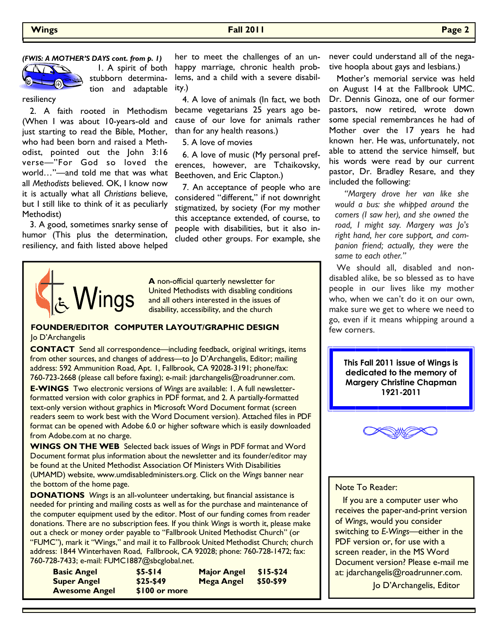#### *(FWIS: A MOTHER'S DAYS cont. from p. 1)*



 1. A spirit of both stubborn determination and adaptable

resiliency

 2. A faith rooted in Methodism (When I was about 10-years-old and just starting to read the Bible, Mother, who had been born and raised a Methodist, pointed out the John 3:16 verse—"For God so loved the world…"—and told me that was what all *Methodists* believed. OK, I know now it is actually what all *Christians* believe, but I still like to think of it as peculiarly Methodist)

 3. A good, sometimes snarky sense of humor (This plus the determination, resiliency, and faith listed above helped

her to meet the challenges of an unhappy marriage, chronic health problems, and a child with a severe disability.)

 4. A love of animals (In fact, we both became vegetarians 25 years ago because of our love for animals rather than for any health reasons.)

5. A love of movies

 6. A love of music (My personal preferences, however, are Tchaikovsky, Beethoven, and Eric Clapton.)

 7. An acceptance of people who are considered "different," if not downright stigmatized, by society (For my mother this acceptance extended, of course, to people with disabilities, but it also included other groups. For example, she



**A** non-official quarterly newsletter for United Methodists with disabling conditions and all others interested in the issues of disability, accessibility, and the church

#### **FOUNDER/EDITOR COMPUTER LAYOUT/GRAPHIC DESIGN**  Jo D'Archangelis

**CONTACT** Send all correspondence—including feedback, original writings, items from other sources, and changes of address—to Jo D'Archangelis, Editor; mailing address: 592 Ammunition Road, Apt. 1, Fallbrook, CA 92028-3191; phone/fax: 760-723-2668 (please call before faxing); e-mail: jdarchangelis@roadrunner.com.

**E-WINGS** Two electronic versions of *Wings* are available: 1. A full newsletterformatted version with color graphics in PDF format, and 2. A partially-formatted text-only version without graphics in Microsoft Word Document format (screen readers seem to work best with the Word Document version). Attached files in PDF format can be opened with Adobe 6.0 or higher software which is easily downloaded from Adobe.com at no charge.

**WINGS ON THE WEB** Selected back issues of *Wings* in PDF format and Word Document format plus information about the newsletter and its founder/editor may be found at the United Methodist Association Of Ministers With Disabilities (UMAMD) website, www.umdisabledministers.org. Click on the *Wings* banner near the bottom of the home page.

**DONATIONS** *Wings* is an all-volunteer undertaking, but financial assistance is needed for printing and mailing costs as well as for the purchase and maintenance of the computer equipment used by the editor. Most of our funding comes from reader donations. There are no subscription fees. If you think *Wings* is worth it, please make out a check or money order payable to "Fallbrook United Methodist Church" (or "FUMC"), mark it "Wings," and mail it to Fallbrook United Methodist Church; church address: 1844 Winterhaven Road, Fallbrook, CA 92028; phone: 760-728-1472; fax: 760-728-7433; e-mail: FUMC1887@sbcglobal.net.

| <b>Basic Angel</b>   | $$5-514$      | <b>Major Angel</b> | $$15-524$ |
|----------------------|---------------|--------------------|-----------|
| <b>Super Angel</b>   | $$25-$49$     | Mega Angel         | \$50-\$99 |
| <b>Awesome Angel</b> | \$100 or more |                    |           |

never could understand all of the negative hoopla about gays and lesbians.)

 Mother's memorial service was held on August 14 at the Fallbrook UMC. Dr. Dennis Ginoza, one of our former pastors, now retired, wrote down some special remembrances he had of Mother over the 17 years he had known her. He was, unfortunately, not able to attend the service himself, but his words were read by our current pastor, Dr. Bradley Resare, and they included the following:

 *"Margery drove her van like she would a bus: she whipped around the corners (I saw her), and she owned the road, I might say. Margery was Jo's right hand, her core support, and companion friend; actually, they were the same to each other."* 

 We should all, disabled and nondisabled alike, be so blessed as to have people in our lives like my mother who, when we can't do it on our own, make sure we get to where we need to go, even if it means whipping around a few corners.

> **This Fall 2011 issue of Wings is dedicated to the memory of Margery Christine Chapman 1921-2011**



### Note To Reader:

 If you are a computer user who receives the paper-and-print version of *Wings*, would you consider switching to *E-Wings—*either in the PDF version or, for use with a screen reader, in the MS Word Document version? Please e-mail me at: jdarchangelis@roadrunner.com.

Jo D'Archangelis, Editor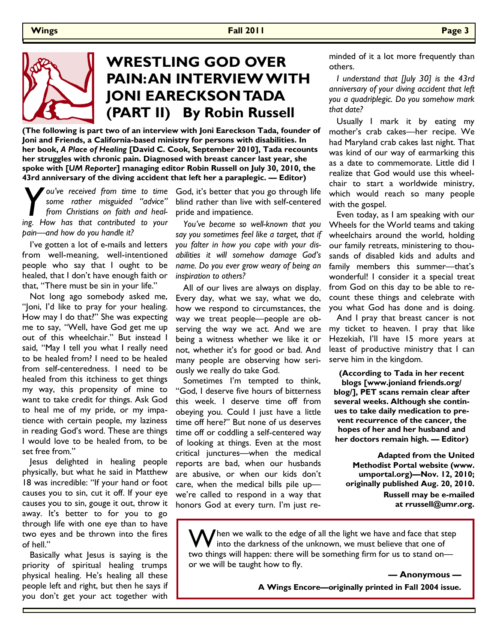

# **WRESTLING GOD OVER PAIN: AN INTERVIEW WITH JONI EARECKSON TADA (PART II) By Robin Russell**

**(The following is part two of an interview with Joni Eareckson Tada, founder of Joni and Friends, a California-based ministry for persons with disabilities. In her book,** *A Place of Healing* **[David C. Cook, September 2010], Tada recounts her struggles with chronic pain. Diagnosed with breast cancer last year, she spoke with [***UM Reporter***] managing editor Robin Russell on July 30, 2010, the 43rd anniversary of the diving accident that left her a paraplegic. — Editor)** 

*Y ou've received from time to time some rather misguided "advice" from Christians on faith and healing. How has that contributed to vour some rather misguided "advice" from Christians on faith and healing. How has that contributed to your pain—and how do you handle it?* 

 I've gotten a lot of e-mails and letters from well-meaning, well-intentioned people who say that I ought to be healed, that I don't have enough faith or that, "There must be sin in your life."

 Not long ago somebody asked me, "Joni, I'd like to pray for your healing. How may I do that?" She was expecting me to say, "Well, have God get me up out of this wheelchair." But instead I said, "May I tell you what I really need to be healed from? I need to be healed from self-centeredness. I need to be healed from this itchiness to get things my way, this propensity of mine to want to take credit for things. Ask God to heal me of my pride, or my impatience with certain people, my laziness in reading God's word. These are things I would love to be healed from, to be set free from."

 Jesus delighted in healing people physically, but what he said in Matthew 18 was incredible: "If your hand or foot causes you to sin, cut it off. If your eye causes you to sin, gouge it out, throw it away. It's better to for you to go through life with one eye than to have two eyes and be thrown into the fires of hell."

 Basically what Jesus is saying is the priority of spiritual healing trumps physical healing. He's healing all these people left and right, but then he says if you don't get your act together with

God, it's better that you go through life blind rather than live with self-centered pride and impatience.

*You've become so well-known that you say you sometimes feel like a target, that if you falter in how you cope with your disabilities it will somehow damage God's name. Do you ever grow weary of being an inspiration to others?*

 All of our lives are always on display. Every day, what we say, what we do, how we respond to circumstances, the way we treat people—people are observing the way we act. And we are being a witness whether we like it or not, whether it's for good or bad. And many people are observing how seriously we really do take God.

 Sometimes I'm tempted to think, "God, I deserve five hours of bitterness this week. I deserve time off from obeying you. Could I just have a little time off here?" But none of us deserves time off or coddling a self-centered way of looking at things. Even at the most critical junctures—when the medical reports are bad, when our husbands are abusive, or when our kids don't care, when the medical bills pile up we're called to respond in a way that honors God at every turn. I'm just reminded of it a lot more frequently than others.

*I understand that [July 30] is the 43rd anniversary of your diving accident that left you a quadriplegic. Do you somehow mark that date?*

 Usually I mark it by eating my mother's crab cakes—her recipe. We had Maryland crab cakes last night. That was kind of our way of earmarking this as a date to commemorate. Little did I realize that God would use this wheelchair to start a worldwide ministry, which would reach so many people with the gospel.

 Even today, as I am speaking with our Wheels for the World teams and taking wheelchairs around the world, holding our family retreats, ministering to thousands of disabled kids and adults and family members this summer—that's wonderful! I consider it a special treat from God on this day to be able to recount these things and celebrate with you what God has done and is doing.

 And I pray that breast cancer is not my ticket to heaven. I pray that like Hezekiah, I'll have 15 more years at least of productive ministry that I can serve him in the kingdom.

**(According to Tada in her recent** 

**blogs [www.joniand friends.org/ blog/], PET scans remain clear after several weeks. Although she continues to take daily medication to prevent recurrence of the cancer, the hopes of her and her husband and her doctors remain high. — Editor)** 

**Adapted from the United Methodist Portal website (www. umportal.org)—Nov. 12, 2010; originally published Aug. 20, 2010. Russell may be e-mailed at rrussell@umr.org.** 

 $\bigvee$ hen we walk to the edge of all the light we have and face that step into the darkness of the unknown, we must believe that one of two things will happen: there will be something firm for us to stand on or we will be taught how to fly.

> **— Anonymous — A Wings Encore—originally printed in Fall 2004 issue.**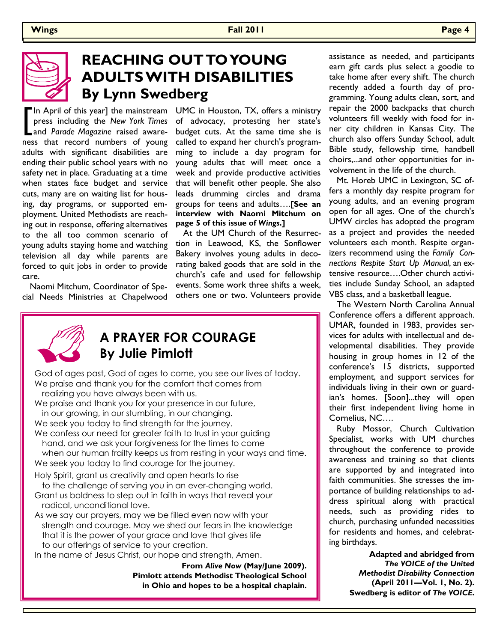

# **REACHING OUT TO YOUNG ADULTS WITH DISABILITIES By Lynn Swedberg**

In April of this year] the mainstream UMC in Houston, TX, offers a ministry press including the New York Times of advocacy, protesting her state's and Parade Magazine raised aware- budget cuts. At the same time she is press including the *New York Times* and *Parade Magazine* raised awareness that record numbers of young adults with significant disabilities are ending their public school years with no safety net in place. Graduating at a time when states face budget and service cuts, many are on waiting list for housing, day programs, or supported employment. United Methodists are reaching out in response, offering alternatives to the all too common scenario of young adults staying home and watching television all day while parents are forced to quit jobs in order to provide care.

 Naomi Mitchum, Coordinator of Special Needs Ministries at Chapelwood of advocacy, protesting her state's budget cuts. At the same time she is called to expand her church's programming to include a day program for young adults that will meet once a week and provide productive activities that will benefit other people. She also leads drumming circles and drama groups for teens and adults….**[See an interview with Naomi Mitchum on page 5 of this issue of** *Wings***.]**

 At the UM Church of the Resurrection in Leawood, KS, the Sonflower Bakery involves young adults in decorating baked goods that are sold in the church's cafe and used for fellowship events. Some work three shifts a week, others one or two. Volunteers provide



### **A PRAYER FOR COURAGE By Julie Pimlott**

God of ages past, God of ages to come, you see our lives of today. We praise and thank you for the comfort that comes from realizing you have always been with us.

We praise and thank you for your presence in our future, in our growing, in our stumbling, in our changing.

We seek you today to find strength for the journey.

We confess our need for greater faith to trust in your guiding hand, and we ask your forgiveness for the times to come when our human frailty keeps us from resting in your ways and time.

We seek you today to find courage for the journey.

Holy Spirit, grant us creativity and open hearts to rise

- to the challenge of serving you in an ever-changing world. Grant us boldness to step out in faith in ways that reveal your
- radical, unconditional love. As we say our prayers, may we be filled even now with your
- strength and courage. May we shed our fears in the knowledge that it is the power of your grace and love that gives life to our offerings of service to your creation.

In the name of Jesus Christ, our hope and strength, Amen.

**From** *Alive Now* **(May/June 2009). Pimlott attends Methodist Theological School in Ohio and hopes to be a hospital chaplain.**

assistance as needed, and participants earn gift cards plus select a goodie to take home after every shift. The church recently added a fourth day of programming. Young adults clean, sort, and repair the 2000 backpacks that church volunteers fill weekly with food for inner city children in Kansas City. The church also offers Sunday School, adult Bible study, fellowship time, handbell choirs,...and other opportunities for involvement in the life of the church.

 Mt. Horeb UMC in Lexington, SC offers a monthly day respite program for young adults, and an evening program open for all ages. One of the church's UMW circles has adopted the program as a project and provides the needed volunteers each month. Respite organizers recommend using the *Family Connections Respite Start Up Manual*, an extensive resource….Other church activities include Sunday School, an adapted VBS class, and a basketball league.

 The Western North Carolina Annual Conference offers a different approach. UMAR, founded in 1983, provides services for adults with intellectual and developmental disabilities. They provide housing in group homes in 12 of the conference's 15 districts, supported employment, and support services for individuals living in their own or guardian's homes. [Soon]...they will open their first independent living home in Cornelius, NC….

 Ruby Mossor, Church Cultivation Specialist, works with UM churches throughout the conference to provide awareness and training so that clients are supported by and integrated into faith communities. She stresses the importance of building relationships to address spiritual along with practical needs, such as providing rides to church, purchasing unfunded necessities for residents and homes, and celebrating birthdays.

> **Adapted and abridged from**  *The VOICE of the United Methodist Disability Connection* **(April 2011—Vol. 1, No. 2). Swedberg is editor of** *The VOICE***.**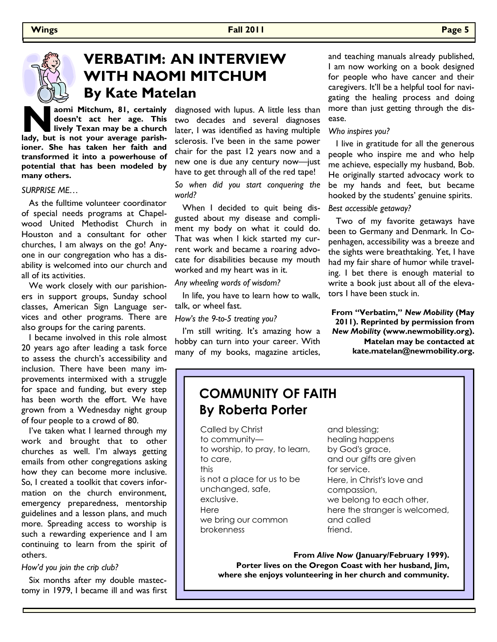

# **VERBATIM: AN INTERVIEW WITH NAOMI MITCHUM By Kate Matelan**

**N a**omi Mitchum, 81, certainly doesn't act her age. This lively Texan may be a church lady, but is not your average parish**doesn't act her age. This lively Texan may be a church ioner. She has taken her faith and transformed it into a powerhouse of potential that has been modeled by many others.** 

### *SURPRISE ME…*

 As the fulltime volunteer coordinator of special needs programs at Chapelwood United Methodist Church in Houston and a consultant for other churches, I am always on the go! Anyone in our congregation who has a disability is welcomed into our church and all of its activities.

 We work closely with our parishioners in support groups, Sunday school classes, American Sign Language services and other programs. There are also groups for the caring parents.

 I became involved in this role almost 20 years ago after leading a task force to assess the church's accessibility and inclusion. There have been many improvements intermixed with a struggle for space and funding, but every step has been worth the effort. We have grown from a Wednesday night group of four people to a crowd of 80.

 I've taken what I learned through my work and brought that to other churches as well. I'm always getting emails from other congregations asking how they can become more inclusive. So, I created a toolkit that covers information on the church environment, emergency preparedness, mentorship guidelines and a lesson plans, and much more. Spreading access to worship is such a rewarding experience and I am continuing to learn from the spirit of others.

#### *How'd you join the crip club?*

 Six months after my double mastectomy in 1979, I became ill and was first diagnosed with lupus. A little less than two decades and several diagnoses later, I was identified as having multiple sclerosis. I've been in the same power chair for the past 12 years now and a new one is due any century now—just have to get through all of the red tape!

*So when did you start conquering the world?* 

 When I decided to quit being disgusted about my disease and compliment my body on what it could do. That was when I kick started my current work and became a roaring advocate for disabilities because my mouth worked and my heart was in it.

*Any wheeling words of wisdom?*

 In life, you have to learn how to walk, talk, or wheel fast.

*How's the 9-to-5 treating you?*

I'm still writing. It's amazing how a hobby can turn into your career. With many of my books, magazine articles,

and teaching manuals already published, I am now working on a book designed for people who have cancer and their caregivers. It'll be a helpful tool for navigating the healing process and doing more than just getting through the disease.

### *Who inspires you?*

 I live in gratitude for all the generous people who inspire me and who help me achieve, especially my husband, Bob. He originally started advocacy work to be my hands and feet, but became hooked by the students' genuine spirits.

#### *Best accessible getaway?*

 Two of my favorite getaways have been to Germany and Denmark. In Copenhagen, accessibility was a breeze and the sights were breathtaking. Yet, I have had my fair share of humor while traveling. I bet there is enough material to write a book just about all of the elevators I have been stuck in.

**From "Verbatim,"** *New Mobility* **(May 2011). Reprinted by permission from**  *New Mobility* **(www.newmobility.org). Matelan may be contacted at kate.matelan@newmobility.org.**

### **COMMUNITY OF FAITH By Roberta Porter**

Called by Christ to community to worship, to pray, to learn, to care, this is not a place for us to be unchanged, safe, exclusive. Here we bring our common brokenness

and blessing; healing happens by God's grace, and our gifts are given for service. Here, in Christ's love and compassion, we belong to each other, here the stranger is welcomed, and called friend.

**From** *Alive Now* **(January/February 1999). Porter lives on the Oregon Coast with her husband, Jim, where she enjoys volunteering in her church and community.**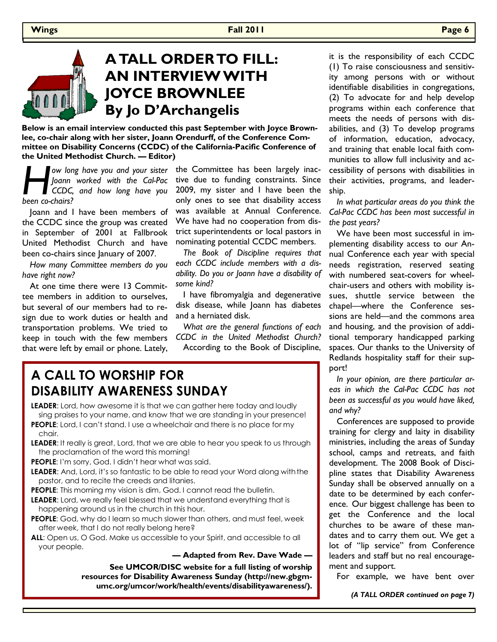

# **A TALL ORDER TO FILL: AN INTERVIEW WITH JOYCE BROWNLEE By Jo D'Archangelis**

**Below is an email interview conducted this past September with Joyce Brownlee, co-chair along with her sister, Joann Orendurff, of the Conference Committee on Disability Concerns (CCDC) of the California-Pacific Conference of the United Methodist Church. — Editor)** 

**Formal and Sour Source is the Committee has been largely inac-<br>
Joann worked with the Cal-Pac tive due to funding constraints. Since<br>
CCDC, and how long have you 2009, my sister and I have been the<br>
only ones to see that** *Joann worked with the Cal-Pac CCDC, and how long have you been co-chairs?*

 Joann and I have been members of the CCDC since the group was created in September of 2001 at Fallbrook United Methodist Church and have been co-chairs since January of 2007.

*How many Committee members do you have right now?*

 At one time there were 13 Committee members in addition to ourselves, but several of our members had to resign due to work duties or health and transportation problems. We tried to keep in touch with the few members that were left by email or phone. Lately,

tive due to funding constraints. Since 2009, my sister and I have been the only ones to see that disability access was available at Annual Conference. We have had no cooperation from district superintendents or local pastors in nominating potential CCDC members.

*The Book of Discipline requires that each CCDC include members with a disability. Do you or Joann have a disability of some kind?*

 I have fibromyalgia and degenerative disk disease, while Joann has diabetes and a herniated disk.

*What are the general functions of each CCDC in the United Methodist Church?* According to the Book of Discipline,

### **A CALL TO WORSHIP FOR DISABILITY AWARENESS SUNDAY**

**LEADER**: Lord, how awesome it is that we can gather here today and loudly sing praises to your name, and know that we are standing in your presence! **PEOPLE:** Lord, I can't stand. I use a wheelchair and there is no place for my chair.

**LEADER**: It really is great, Lord, that we are able to hear you speak to us through the proclamation of the word this morning!

**PEOPLE**: I'm sorry, God. I didn't hear what was said.

- **LEADER**: And, Lord, it's so fantastic to be able to read your Word along with the pastor, and to recite the creeds and litanies.
- **PEOPLE:** This morning my vision is dim, God. I cannot read the bulletin.
- **LEADER:** Lord, we really feel blessed that we understand everything that is happening around us in the church in this hour.
- **PEOPLE**: God, why do I learn so much slower than others, and must feel, week after week, that I do not really belong here?

**ALL**: Open us, O God. Make us accessible to your Spirit, and accessible to all your people.

### **— Adapted from Rev. Dave Wade —**

**See UMCOR/DISC website for a full listing of worship resources for Disability Awareness Sunday (http://new.gbgmumc.org/umcor/work/health/events/disabilityawareness/).** 

it is the responsibility of each CCDC (1) To raise consciousness and sensitivity among persons with or without identifiable disabilities in congregations, (2) To advocate for and help develop programs within each conference that meets the needs of persons with disabilities, and (3) To develop programs of information, education, advocacy, and training that enable local faith communities to allow full inclusivity and accessibility of persons with disabilities in their activities, programs, and leadership.

*In what particular areas do you think the Cal-Pac CCDC has been most successful in the past years?*

 We have been most successful in implementing disability access to our Annual Conference each year with special needs registration, reserved seating with numbered seat-covers for wheelchair-users and others with mobility issues, shuttle service between the chapel—where the Conference sessions are held—and the commons area and housing, and the provision of additional temporary handicapped parking spaces. Our thanks to the University of Redlands hospitality staff for their support!

*In your opinion, are there particular areas in which the Cal-Pac CCDC has not been as successful as you would have liked, and why?*

 Conferences are supposed to provide training for clergy and laity in disability ministries, including the areas of Sunday school, camps and retreats, and faith development. The 2008 Book of Discipline states that Disability Awareness Sunday shall be observed annually on a date to be determined by each conference. Our biggest challenge has been to get the Conference and the local churches to be aware of these mandates and to carry them out. We get a lot of "lip service" from Conference leaders and staff but no real encouragement and support.

For example, we have bent over

*(A TALL ORDER continued on page 7)*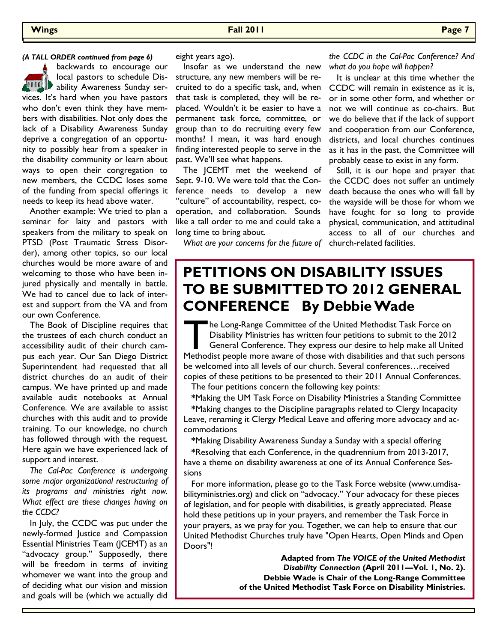backwards to encourage our local pastors to schedule Dis-**ALLITED** ability Awareness Sunday services. It's hard when you have pastors who don't even think they have members with disabilities. Not only does the lack of a Disability Awareness Sunday deprive a congregation of an opportunity to possibly hear from a speaker in the disability community or learn about ways to open their congregation to new members, the CCDC loses some of the funding from special offerings it needs to keep its head above water.

 Another example: We tried to plan a seminar for laity and pastors with speakers from the military to speak on PTSD (Post Traumatic Stress Disorder), among other topics, so our local churches would be more aware of and welcoming to those who have been injured physically and mentally in battle. We had to cancel due to lack of interest and support from the VA and from our own Conference.

 The Book of Discipline requires that the trustees of each church conduct an accessibility audit of their church campus each year. Our San Diego District Superintendent had requested that all district churches do an audit of their campus. We have printed up and made available audit notebooks at Annual Conference. We are available to assist churches with this audit and to provide training. To our knowledge, no church has followed through with the request. Here again we have experienced lack of support and interest.

*The Cal-Pac Conference is undergoing some major organizational restructuring of its programs and ministries right now. What effect are these changes having on the CCDC?*

 In July, the CCDC was put under the newly-formed Justice and Compassion Essential Ministries Team (JCEMT) as an "advocacy group." Supposedly, there will be freedom in terms of inviting whomever we want into the group and of deciding what our vision and mission and goals will be (which we actually did eight years ago).

 Insofar as we understand the new structure, any new members will be recruited to do a specific task, and, when that task is completed, they will be replaced. Wouldn't it be easier to have a permanent task force, committee, or group than to do recruiting every few months? I mean, it was hard enough finding interested people to serve in the past. We'll see what happens.

 The JCEMT met the weekend of Sept. 9-10. We were told that the Conference needs to develop a new 'culture" of accountability, respect, cooperation, and collaboration. Sounds like a tall order to me and could take a long time to bring about.

*What are your concerns for the future of*  church-related facilities.

*(A TALL ORDER continued from page 6) the CCDC in the Cal-Pac Conference? And what do you hope will happen?*

> It is unclear at this time whether the CCDC will remain in existence as it is, or in some other form, and whether or not we will continue as co-chairs. But we do believe that if the lack of support and cooperation from our Conference, districts, and local churches continues as it has in the past, the Committee will probably cease to exist in any form.

> Still, it is our hope and prayer that the CCDC does not suffer an untimely death because the ones who will fall by the wayside will be those for whom we have fought for so long to provide physical, communication, and attitudinal access to all of our churches and

## **PETITIONS ON DISABILITY ISSUES TO BE SUBMITTED TO 2012 GENERAL CONFERENCE By Debbie Wade**

**The Long-Range Committee of the United Methodist Task Force on** Disability Ministries has written four petitions to submit to the 2012 General Conference. They express our desire to help make all United Methodist people more aware of those with disabilities and that such persons be welcomed into all levels of our church. Several conferences…received copies of these petitions to be presented to their 2011 Annual Conferences.

The four petitions concern the following key points:

**\***Making the UM Task Force on Disability Ministries a Standing Committee

**\***Making changes to the Discipline paragraphs related to Clergy Incapacity Leave, renaming it Clergy Medical Leave and offering more advocacy and accommodations

**\***Making Disability Awareness Sunday a Sunday with a special offering

**\***Resolving that each Conference, in the quadrennium from 2013-2017, have a theme on disability awareness at one of its Annual Conference Sessions

 For more information, please go to the Task Force website (www.umdisabilityministries.org) and click on "advocacy." Your advocacy for these pieces of legislation, and for people with disabilities, is greatly appreciated. Please hold these petitions up in your prayers, and remember the Task Force in your prayers, as we pray for you. Together, we can help to ensure that our United Methodist Churches truly have "Open Hearts, Open Minds and Open Doors"!

> **Adapted from** *The VOICE of the United Methodist Disability Connection* **(April 2011—Vol. 1, No. 2). Debbie Wade is Chair of the Long-Range Committee of the United Methodist Task Force on Disability Ministries.**